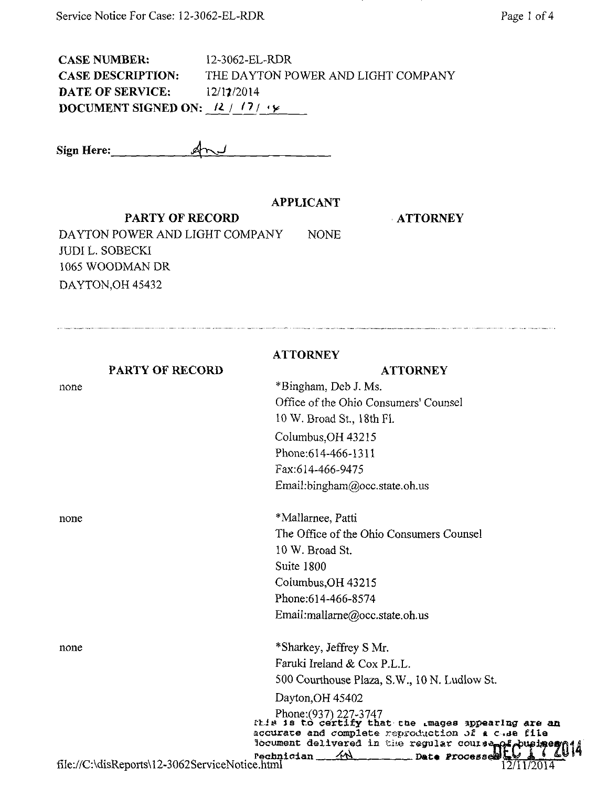CASE NUMBER: 12-3062-EL-RDR CASE DESCRIPTION: THE DAYTON POWER AND LIGHT COMPANY **DATE OF SERVICE:** 12/17/2014 DOCUMENT SIGNED ON:  $\frac{12}{17}$  iy

Sign Here:

## APPLICANT

PARTY OF RECORD

none

ATTORNEY

DAYTON POWER AND LIGHT COMPANY NONE JUDI L. SOBECKI 1065 WOODMAN DR DAYTON, OH 45432

PARTY OF RECORD **ATTORNEY** ATTORNEY \*Bingham, Deb J. Ms. Office of the Ohio Consumers' Counsel 10 W. Broad St, 18th Fl. Columbus,OH 43215 Phone:614-466-1311 Fax:614-466-9475 Email[:bingham@occ.state.oh.us](mailto:bingham@occ.state.oh.us)  none \*Mallarnee, Patti The Office of the Ohio Consumers Counsel 10 W. Broad St Suite 1800 Columbus,OH 43215 Phone:614-466-8574 Email:mallarne@occ.state.oh.us none \* Sharkey, Jeffrey S Mr. Famki Ireland & Cox P.L.L. 500 Courthouse Plaza, S.W., 10 N. Ludlow St. Dayton,OH 45402

Phone:(937)227-3747 s is to certify that the mages appearing are an accurate and complete reproduction of a c.de file Nocument delivered in the regular course  $Pechnicalan$  //  $\wedge$  Date Processe file://C:\disReports\12-3062ServiceNotice.html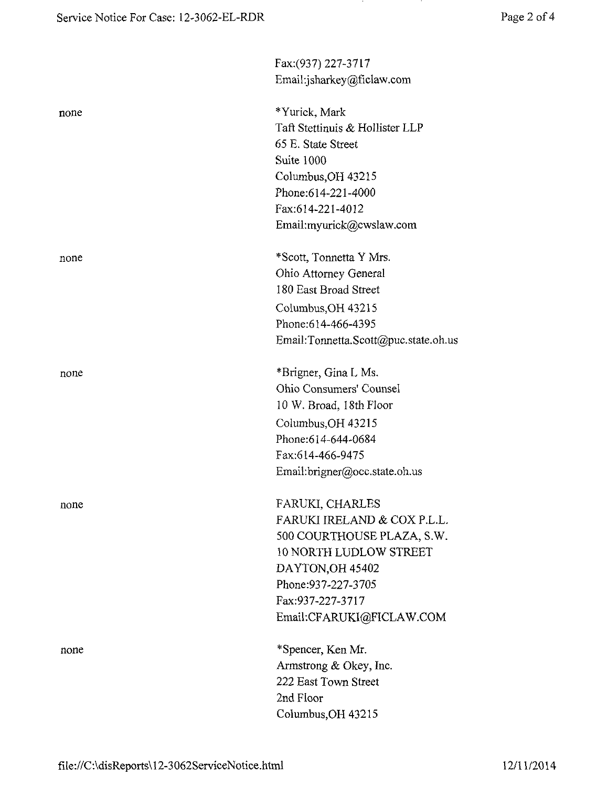| Email:jsharkey@ficlaw.com            |
|--------------------------------------|
| *Yurick, Mark                        |
| Taft Stettinuis & Hollister LLP      |
| 65 E. State Street                   |
| Suite 1000                           |
| Columbus, OH 43215                   |
| Phone: 614-221-4000                  |
| Fax:614-221-4012                     |
| Email:myurick@cwslaw.com             |
| *Scott, Tonnetta Y Mrs.              |
| Ohio Attorney General                |
| 180 East Broad Street                |
| Columbus, OH 43215                   |
| Phone: 614-466-4395                  |
| Email:Tonnetta.Scott@puc.state.oh.us |
| *Brigner, Gina L Ms.                 |
| Ohio Consumers' Counsel              |
| 10 W. Broad, 18th Floor              |
| Columbus, OH 43215                   |
| Phone:614-644-0684                   |
| Fax:614-466-9475                     |
| Email:brigner@occ.state.oh.us        |
| FARUKI, CHARLES                      |
| FARUKI IRELAND & COX P.L.L.          |
| 500 COURTHOUSE PLAZA, S.W.           |
| 10 NORTH LUDLOW STREET               |
| DAYTON, OH 45402                     |
| Phone: 937-227-3705                  |
| Fax:937-227-3717                     |
| Email:CFARUKI@FICLAW.COM             |
| *Spencer, Ken Mr.                    |
| Armstrong & Okey, Inc.               |
| 222 East Town Street                 |
| 2nd Floor                            |
| Columbus, OH 43215                   |
|                                      |

in the

 $\mathcal{L}$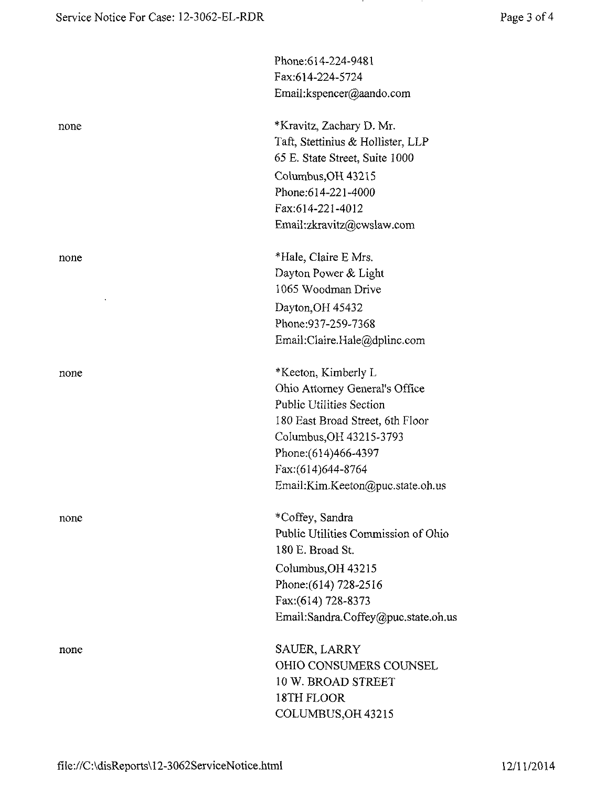|      | Phone:614-224-9481                  |
|------|-------------------------------------|
|      | Fax:614-224-5724                    |
|      | Email:kspencer@aando.com            |
| none | *Kravitz, Zachary D. Mr.            |
|      | Taft, Stettinius & Hollister, LLP   |
|      | 65 E. State Street, Suite 1000      |
|      | Columbus, OH 43215                  |
|      | Phone: 614-221-4000                 |
|      | Fax:614-221-4012                    |
|      | Email:zkravitz@cwslaw.com           |
| none | *Hale, Claire E Mrs.                |
|      | Dayton Power & Light                |
|      | 1065 Woodman Drive                  |
|      | Dayton, OH 45432                    |
|      | Phone: 937-259-7368                 |
|      | Email:Claire.Hale@dplinc.com        |
| none | *Keeton, Kimberly L                 |
|      | Ohio Attorney General's Office      |
|      | <b>Public Utilities Section</b>     |
|      | 180 East Broad Street, 6th Floor    |
|      | Columbus, OH 43215-3793             |
|      | Phone: (614) 466-4397               |
|      | Fax:(614)644-8764                   |
|      | Email:Kim.Keeton@puc.state.oh.us    |
| none | *Coffey, Sandra                     |
|      | Public Utilities Commission of Ohio |
|      | 180 E. Broad St.                    |
|      | Columbus, OH 43215                  |
|      | Phone: (614) 728-2516               |
|      | Fax:(614) 728-8373                  |
|      | Email:Sandra.Coffey@puc.state.oh.us |
| none | SAUER, LARRY                        |
|      | OHIO CONSUMERS COUNSEL              |
|      | 10 W. BROAD STREET                  |
|      | 18TH FLOOR                          |
|      | COLUMBUS, OH 43215                  |

in the